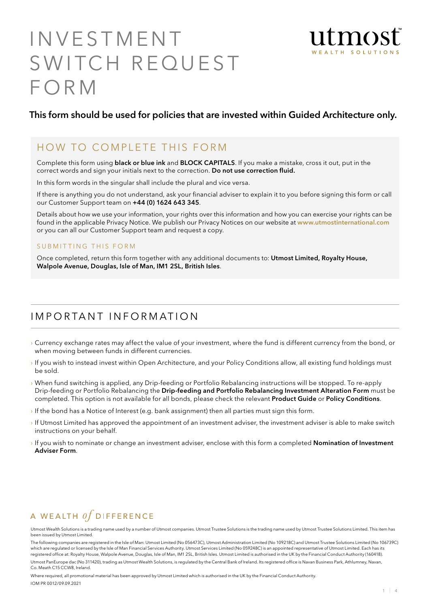# **INVESTMENT** SWITCH REQUEST **FORM**



## This form should be used for policies that are invested within Guided Architecture only.

## HOW TO COMPLETE THIS FORM

Complete this form using black or blue ink and BLOCK CAPITALS. If you make a mistake, cross it out, put in the correct words and sign your initials next to the correction. Do not use correction fluid.

In this form words in the singular shall include the plural and vice versa.

If there is anything you do not understand, ask your financial adviser to explain it to you before signing this form or call our Customer Support team on +44 (0) 1624 643 345.

Details about how we use your information, your rights over this information and how you can exercise your rights can be found in the applicable Privacy Notice. We publish our Privacy Notices on our website at www.utmostinternational.com or you can all our Customer Support team and request a copy.

#### SUBMITTING THIS FORM

Once completed, return this form together with any additional documents to: Utmost Limited, Royalty House, Walpole Avenue, Douglas, Isle of Man, IM1 2SL, British Isles.

## I m p o r ta n t I n f o r m at i o n

- › Currency exchange rates may affect the value of your investment, where the fund is different currency from the bond, or when moving between funds in different currencies.
- › If you wish to instead invest within Open Architecture, and your Policy Conditions allow, all existing fund holdings must be sold.
- › When fund switching is applied, any Drip-feeding or Portfolio Rebalancing instructions will be stopped. To re-apply Drip-feeding or Portfolio Rebalancing the Drip-feeding and Portfolio Rebalancing Investment Alteration Form must be completed. This option is not available for all bonds, please check the relevant Product Guide or Policy Conditions.
- › If the bond has a Notice of Interest (e.g. bank assignment) then all parties must sign this form.
- › If Utmost Limited has approved the appointment of an investment adviser, the investment adviser is able to make switch instructions on your behalf.
- If you wish to nominate or change an investment adviser, enclose with this form a completed **Nomination of Investment** Adviser Form.

# A WEALTH  $of$  DIFFERENCE

Utmost Wealth Solutions is a trading name used by a number of Utmost companies. Utmost Trustee Solutions is the trading name used by Utmost Trustee Solutions Limited. This item has been issued by Utmost Limited.

Where required, all promotional material has been approved by Utmost Limited which is authorised in the UK by the Financial Conduct Authority. IOM PR 0012/09.09.2021

The following companies are registered in the Isle of Man: Utmost Limited (No 056473C), Utmost Administration Limited (No 109218C) and Utmost Trustee Solutions Limited (No 106739C) which are regulated or licensed by the Isle of Man Financial Services Authority. Utmost Services Limited (No 059248C) is an appointed representative of Utmost Limited. Each has its registered office at: Royalty House, Walpole Avenue, Douglas, Isle of Man, IM1 2SL, British Isles. Utmost Limited is authorised in the UK by the Financial Conduct Authority (160418). Utmost PanEurope dac (No 311420), trading as Utmost Wealth Solutions, is regulated by the Central Bank of Ireland. Its registered office is Navan Business Park, Athlumney, Navan, Co. Meath C15 CCW8, Ireland.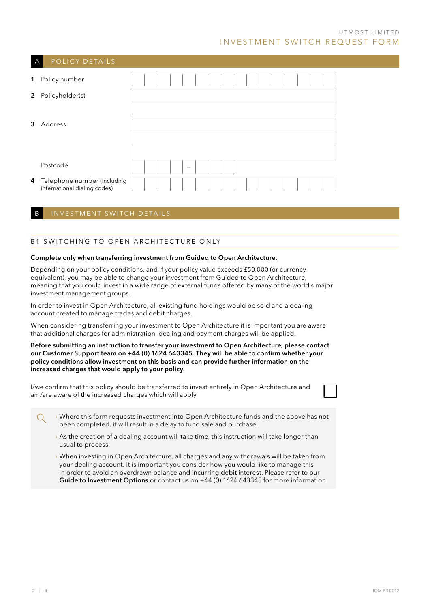| A           | POLICY DETAILS                                              |  |  |                                 |  |  |  |  |  |  |
|-------------|-------------------------------------------------------------|--|--|---------------------------------|--|--|--|--|--|--|
| $\mathbf 1$ | Policy number                                               |  |  |                                 |  |  |  |  |  |  |
|             | 2 Policyholder(s)                                           |  |  |                                 |  |  |  |  |  |  |
|             | 3 Address                                                   |  |  |                                 |  |  |  |  |  |  |
|             |                                                             |  |  |                                 |  |  |  |  |  |  |
|             |                                                             |  |  |                                 |  |  |  |  |  |  |
|             | Postcode                                                    |  |  | $\hspace{0.1mm}-\hspace{0.1mm}$ |  |  |  |  |  |  |
| 4           | Telephone number (Including<br>international dialing codes) |  |  |                                 |  |  |  |  |  |  |

#### B INVESTMENT SWITCH DETAILS

#### B1 SWITCHING TO OPEN ARCHITECTURE ONLY

#### Complete only when transferring investment from Guided to Open Architecture.

Depending on your policy conditions, and if your policy value exceeds £50,000 (or currency equivalent), you may be able to change your investment from Guided to Open Architecture, meaning that you could invest in a wide range of external funds offered by many of the world's major investment management groups.

In order to invest in Open Architecture, all existing fund holdings would be sold and a dealing account created to manage trades and debit charges.

When considering transferring your investment to Open Architecture it is important you are aware that additional charges for administration, dealing and payment charges will be applied.

#### Before submitting an instruction to transfer your investment to Open Architecture, please contact our Customer Support team on +44 (0) 1624 643345. They will be able to confirm whether your policy conditions allow investment on this basis and can provide further information on the increased charges that would apply to your policy.

I/we confirm that this policy should be transferred to invest entirely in Open Architecture and am/are aware of the increased charges which will apply

|                                                                      | $\rightarrow$ Where this form requests investment into Open Architecture funds and the above has not |
|----------------------------------------------------------------------|------------------------------------------------------------------------------------------------------|
| been completed, it will result in a delay to fund sale and purchase. |                                                                                                      |

- $\rightarrow$  As the creation of a dealing account will take time, this instruction will take longer than usual to process.
- › When investing in Open Architecture, all charges and any withdrawals will be taken from your dealing account. It is important you consider how you would like to manage this in order to avoid an overdrawn balance and incurring debit interest. Please refer to our Guide to Investment Options or contact us on +44 (0) 1624 643345 for more information.

 $\overline{Q}$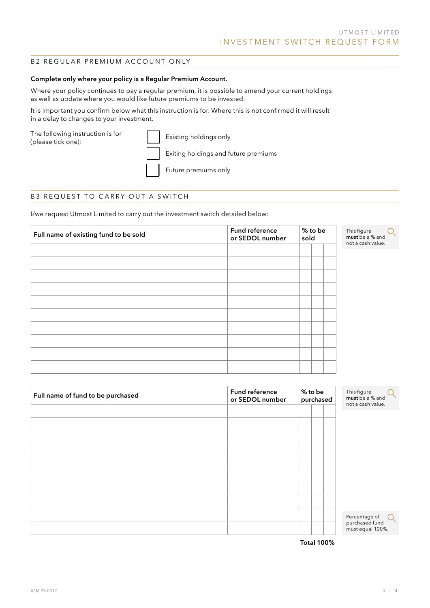#### B2 REGULAR PREMIUM ACCOUNT ONLY

#### Complete only where your policy is a Regular Premium Account.

Where your policy continues to pay a regular premium, it is possible to amend your current holdings as well as update where you would like future premiums to be invested.

It is important you confirm below what this instruction is for. Where this is not confirmed it will result in a delay to changes to your investment.

The following instruction is for (please tick one):

|  |  | Existing h |  |
|--|--|------------|--|
|  |  |            |  |

holdings only

Exiting holdings and future premiums

Future premiums only

#### B3 REQUEST TO CARRY OUT A SWITCH

I/we request Utmost Limited to carry out the investment switch detailed below:

| Full name of existing fund to be sold | Fund reference<br>or SEDOL number |  | % to be<br>sold | This figure<br>must be a % and<br>not a cash value. |  |
|---------------------------------------|-----------------------------------|--|-----------------|-----------------------------------------------------|--|
|                                       |                                   |  |                 |                                                     |  |
|                                       |                                   |  |                 |                                                     |  |
|                                       |                                   |  |                 |                                                     |  |
|                                       |                                   |  |                 |                                                     |  |
|                                       |                                   |  |                 |                                                     |  |
|                                       |                                   |  |                 |                                                     |  |
|                                       |                                   |  |                 |                                                     |  |
|                                       |                                   |  |                 |                                                     |  |
|                                       |                                   |  |                 |                                                     |  |
|                                       |                                   |  |                 |                                                     |  |
|                                       |                                   |  |                 |                                                     |  |
|                                       |                                   |  |                 |                                                     |  |

| Full name of fund to be purchased | Fund reference<br>or SEDOL number |  |  | % to be<br>purchased | This figure<br>must be a % and<br>not a cash value. |  |
|-----------------------------------|-----------------------------------|--|--|----------------------|-----------------------------------------------------|--|
|                                   |                                   |  |  |                      |                                                     |  |
|                                   |                                   |  |  |                      |                                                     |  |
|                                   |                                   |  |  |                      |                                                     |  |
|                                   |                                   |  |  |                      |                                                     |  |
|                                   |                                   |  |  |                      |                                                     |  |
|                                   |                                   |  |  |                      |                                                     |  |
|                                   |                                   |  |  |                      |                                                     |  |
|                                   |                                   |  |  |                      |                                                     |  |
|                                   |                                   |  |  |                      |                                                     |  |
|                                   |                                   |  |  |                      | Percentage of                                       |  |
|                                   |                                   |  |  |                      | purchased fund<br>must equal 100%.                  |  |

Total 100%